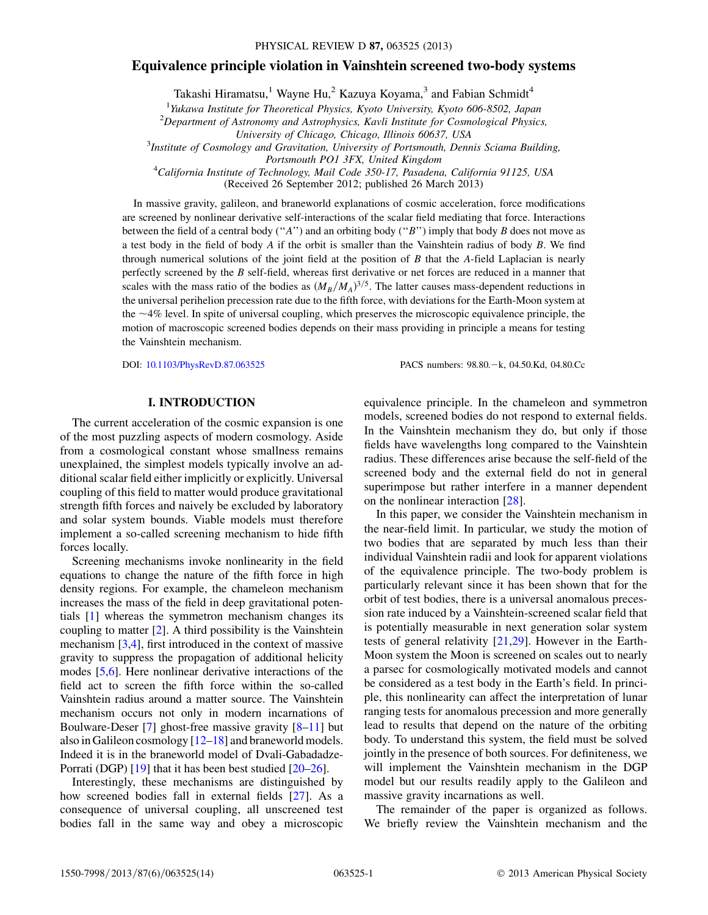# Equivalence principle violation in Vainshtein screened two-body systems

Takashi Hiramatsu,<sup>1</sup> Wayne Hu,<sup>2</sup> Kazuya Koyama,<sup>3</sup> and Fabian Schmidt<sup>4</sup>

<sup>1</sup>Yukawa Institute for Theoretical Physics, Kyoto University, Kyoto 606-8502, Japan  $\frac{2}{3}$ Penertmant of Astronomy and Astronomies, Kayli Institute for Cosmological Physics

 $^{2}$ Department of Astronomy and Astrophysics, Kavli Institute for Cosmological Physics,

University of Chicago, Chicago, Illinois 60637, USA <sup>3</sup>

<sup>3</sup>Institute of Cosmology and Gravitation, University of Portsmouth, Dennis Sciama Building,

Portsmouth PO1 3FX, United Kingdom<br><sup>4</sup>California Institute of Technology, Mail Code 350-17, Pasadena, California 91125, USA

(Received 26 September 2012; published 26 March 2013)

In massive gravity, galileon, and braneworld explanations of cosmic acceleration, force modifications are screened by nonlinear derivative self-interactions of the scalar field mediating that force. Interactions between the field of a central body ("A") and an orbiting body ("B") imply that body B does not move as a test body in the field of body  $A$  if the orbit is smaller than the Vainshtein radius of body  $B$ . We find through numerical solutions of the joint field at the position of B that the A-field Laplacian is nearly perfectly screened by the B self-field, whereas first derivative or net forces are reduced in a manner that scales with the mass ratio of the bodies as  $(M_B/M_A)^{3/5}$ . The latter causes mass-dependent reductions in<br>the universal perihelion precession rate due to the fifth force, with deviations for the Earth Moon system at the universal perihelion precession rate due to the fifth force, with deviations for the Earth-Moon system at the  $\sim$ 4% level. In spite of universal coupling, which preserves the microscopic equivalence principle, the motion of macroscopic screened bodies depends on their mass providing in principle a means for testing the Vainshtein mechanism.

DOI: [10.1103/PhysRevD.87.063525](http://dx.doi.org/10.1103/PhysRevD.87.063525)

PACS numbers: 98.80. - k, 04.50.Kd, 04.80.Cc

## I. INTRODUCTION

The current acceleration of the cosmic expansion is one of the most puzzling aspects of modern cosmology. Aside from a cosmological constant whose smallness remains unexplained, the simplest models typically involve an additional scalar field either implicitly or explicitly. Universal coupling of this field to matter would produce gravitational strength fifth forces and naively be excluded by laboratory and solar system bounds. Viable models must therefore implement a so-called screening mechanism to hide fifth forces locally.

Screening mechanisms invoke nonlinearity in the field equations to change the nature of the fifth force in high density regions. For example, the chameleon mechanism increases the mass of the field in deep gravitational potentials [\[1](#page-13-0)] whereas the symmetron mechanism changes its coupling to matter  $[2]$  $[2]$ . A third possibility is the Vainshtein mechanism [[3,](#page-13-2)[4](#page-13-3)], first introduced in the context of massive gravity to suppress the propagation of additional helicity modes [\[5](#page-13-4),[6](#page-13-5)]. Here nonlinear derivative interactions of the field act to screen the fifth force within the so-called Vainshtein radius around a matter source. The Vainshtein mechanism occurs not only in modern incarnations of Boulware-Deser [[7\]](#page-13-6) ghost-free massive gravity [\[8–](#page-13-7)[11](#page-13-8)] but also in Galileon cosmology [\[12](#page-13-9)–[18](#page-13-10)] and braneworld models. Indeed it is in the braneworld model of Dvali-Gabadadze-Porrati (DGP) [\[19\]](#page-13-11) that it has been best studied [\[20](#page-13-12)–[26\]](#page-13-13).

Interestingly, these mechanisms are distinguished by how screened bodies fall in external fields [\[27\]](#page-13-14). As a consequence of universal coupling, all unscreened test bodies fall in the same way and obey a microscopic

equivalence principle. In the chameleon and symmetron models, screened bodies do not respond to external fields. In the Vainshtein mechanism they do, but only if those fields have wavelengths long compared to the Vainshtein radius. These differences arise because the self-field of the screened body and the external field do not in general superimpose but rather interfere in a manner dependent on the nonlinear interaction [\[28\]](#page-13-15).

In this paper, we consider the Vainshtein mechanism in the near-field limit. In particular, we study the motion of two bodies that are separated by much less than their individual Vainshtein radii and look for apparent violations of the equivalence principle. The two-body problem is particularly relevant since it has been shown that for the orbit of test bodies, there is a universal anomalous precession rate induced by a Vainshtein-screened scalar field that is potentially measurable in next generation solar system tests of general relativity [[21](#page-13-16)[,29](#page-13-17)]. However in the Earth-Moon system the Moon is screened on scales out to nearly a parsec for cosmologically motivated models and cannot be considered as a test body in the Earth's field. In principle, this nonlinearity can affect the interpretation of lunar ranging tests for anomalous precession and more generally lead to results that depend on the nature of the orbiting body. To understand this system, the field must be solved jointly in the presence of both sources. For definiteness, we will implement the Vainshtein mechanism in the DGP model but our results readily apply to the Galileon and massive gravity incarnations as well.

The remainder of the paper is organized as follows. We briefly review the Vainshtein mechanism and the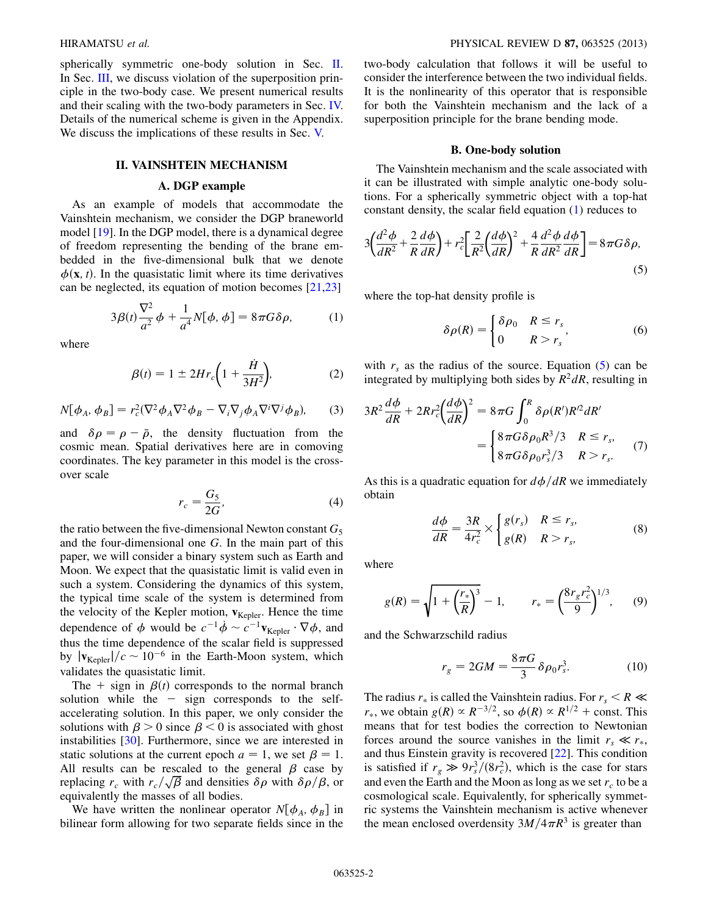spherically symmetric one-body solution in Sec. [II](#page-1-0). In Sec. [III,](#page-2-0) we discuss violation of the superposition principle in the two-body case. We present numerical results and their scaling with the two-body parameters in Sec. [IV.](#page-6-0) Details of the numerical scheme is given in the Appendix. We discuss the implications of these results in Sec. [V.](#page-9-0)

## II. VAINSHTEIN MECHANISM

## A. DGP example

<span id="page-1-0"></span>As an example of models that accommodate the Vainshtein mechanism, we consider the DGP braneworld model [[19](#page-13-11)]. In the DGP model, there is a dynamical degree of freedom representing the bending of the brane embedded in the five-dimensional bulk that we denote  $\phi(\mathbf{x}, t)$ . In the quasistatic limit where its time derivatives can be neglected, its equation of motion becomes [\[21,](#page-13-16)[23\]](#page-13-18)

<span id="page-1-1"></span>
$$
3\beta(t)\frac{\nabla^2}{a^2}\phi + \frac{1}{a^4}N[\phi,\phi] = 8\pi G\delta\rho, \qquad (1)
$$

<span id="page-1-4"></span>where

$$
\beta(t) = 1 \pm 2Hr_c\bigg(1 + \frac{\dot{H}}{3H^2}\bigg),\tag{2}
$$

$$
N[\phi_A, \phi_B] = r_c^2 (\nabla^2 \phi_A \nabla^2 \phi_B - \nabla_i \nabla_j \phi_A \nabla^i \nabla^j \phi_B), \qquad (3)
$$

and  $\delta \rho = \rho - \bar{\rho}$ , the density fluctuation from the cosmic mean Spatial derivatives here are in comoving cosmic mean. Spatial derivatives here are in comoving coordinates. The key parameter in this model is the crossover scale

$$
r_c = \frac{G_5}{2G},\tag{4}
$$

the ratio between the five-dimensional Newton constant  $G_5$ and the four-dimensional one G. In the main part of this paper, we will consider a binary system such as Earth and Moon. We expect that the quasistatic limit is valid even in such a system. Considering the dynamics of this system, the typical time scale of the system is determined from the velocity of the Kepler motion,  $v_{Kepler}$ . Hence the time dependence of  $\phi$  would be  $c^{-1}\dot{\phi} \sim c^{-1}v_{\text{Kepler}} \cdot \nabla \phi$ , and thus the time dependence of the scalar field is suppressed thus the time dependence of the scalar field is suppressed by  $|v_{\text{Kepler}}|/c \sim 10^{-6}$  in the Earth-Moon system, which<br>validates the quasistatic limit validates the quasistatic limit.

The  $+$  sign in  $\beta(t)$  corresponds to the normal branch<br>lution while the  $-$  sign corresponds to the selfsolution while the  $-$  sign corresponds to the self-<br>accelerating solution. In this paper, we only consider the accelerating solution. In this paper, we only consider the solutions with  $\beta > 0$  since  $\beta < 0$  is associated with ghost instabilities [[30](#page-13-19)]. Furthermore, since we are interested in static solutions at the current epoch  $a = 1$ , we set  $\beta = 1$ .<br>All results can be rescaled to the general  $\beta$  case by All results can be rescaled to the general  $\beta$  case by replacing  $r_c$  with  $r_c/\sqrt{\beta}$  and densities  $\delta\rho$  with  $\delta\rho/\beta$ , or equivalently the masses of all bodies.

We have written the nonlinear operator  $N[\phi_A, \phi_B]$  in bilinear form allowing for two separate fields since in the two-body calculation that follows it will be useful to consider the interference between the two individual fields. It is the nonlinearity of this operator that is responsible for both the Vainshtein mechanism and the lack of a superposition principle for the brane bending mode.

# B. One-body solution

The Vainshtein mechanism and the scale associated with it can be illustrated with simple analytic one-body solutions. For a spherically symmetric object with a top-hat constant density, the scalar field equation ([1](#page-1-1)) reduces to

<span id="page-1-2"></span>
$$
3\left(\frac{d^2\phi}{dR^2} + \frac{2}{R}\frac{d\phi}{dR}\right) + r_c^2 \left[\frac{2}{R^2}\left(\frac{d\phi}{dR}\right)^2 + \frac{4}{R}\frac{d^2\phi}{dR^2}\frac{d\phi}{dR}\right] = 8\pi G \delta \rho,
$$
\n(5)

where the top-hat density profile is

$$
\delta \rho(R) = \begin{cases} \delta \rho_0 & R \le r_s \\ 0 & R > r_s \end{cases}
$$
 (6)

with  $r_s$  as the radius of the source. Equation ([5\)](#page-1-2) can be integrated by multiplying both sides by  $R^2 dR$ , resulting in

$$
3R^2\frac{d\phi}{dR} + 2Rr_c^2\left(\frac{d\phi}{dR}\right)^2 = 8\pi G \int_0^R \delta\rho(R')R'^2dR'
$$
  
= 
$$
\begin{cases} 8\pi G\delta\rho_0R^3/3 & R \le r_s, \\ 8\pi G\delta\rho_0r_s^3/3 & R > r_s. \end{cases}
$$
 (7)

<span id="page-1-3"></span>As this is a quadratic equation for  $d\phi/dR$  we immediately obtain

$$
\frac{d\phi}{dR} = \frac{3R}{4r_c^2} \times \begin{cases} g(r_s) & R \le r_s, \\ g(R) & R > r_s, \end{cases} \tag{8}
$$

where

$$
g(R) = \sqrt{1 + \left(\frac{r_*}{R}\right)^3} - 1, \qquad r_* = \left(\frac{8r_g r_c^2}{9}\right)^{1/3}, \qquad (9)
$$

and the Schwarzschild radius

$$
r_g = 2GM = \frac{8\pi G}{3} \delta \rho_0 r_s^3.
$$
 (10)

The radius  $r_*$  is called the Vainshtein radius. For  $r_s < R \ll$  $r_*$ , we obtain  $g(R) \propto R^{-3/2}$ , so  $\phi(R) \propto R^{1/2}$  + const. This means that for test bodies the correction to Newtonian means that for test bodies the correction to Newtonian forces around the source vanishes in the limit  $r_s \ll r_*$ , and thus Einstein gravity is recovered [[22](#page-13-20)]. This condition is satisfied if  $r_g \gg 9r_s^3/(8r_c^2)$ , which is the case for stars<br>and even the Earth and the Moon as long as we set r, to be a and even the Earth and the Moon as long as we set  $r_c$  to be a cosmological scale. Equivalently, for spherically symmetric systems the Vainshtein mechanism is active whenever the mean enclosed overdensity  $3M/4\pi R^3$  is greater than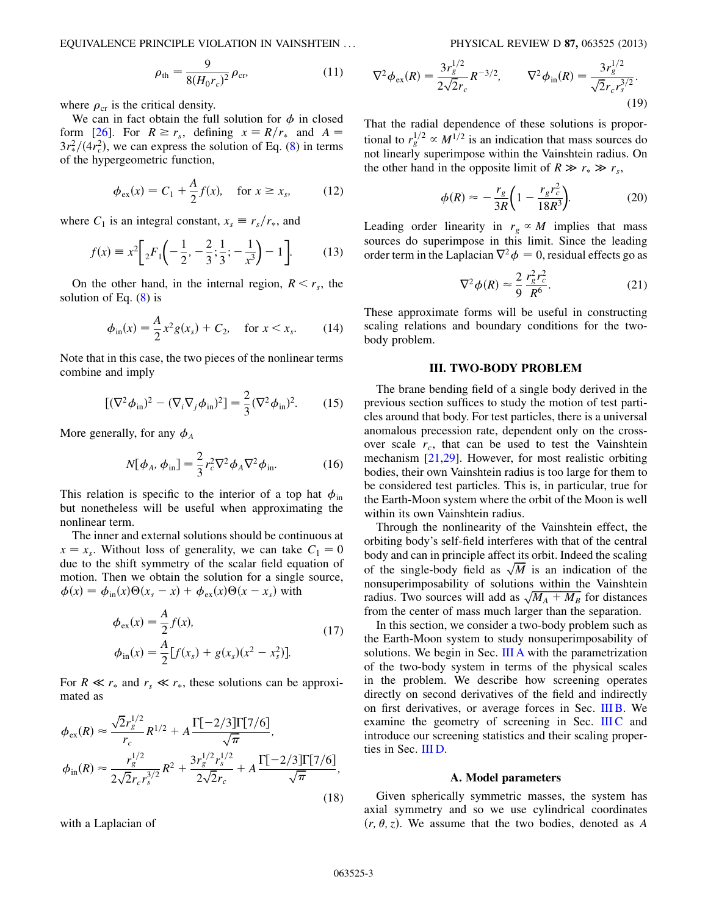EQUIVALENCE PRINCIPLE VIOLATION IN VAINSHTEIN ... PHYSICAL REVIEW D 87, 063525 (2013)

$$
\rho_{\rm th} = \frac{9}{8(H_0 r_c)^2} \rho_{\rm cr},\tag{11}
$$

where  $\rho_{cr}$  is the critical density.

We can in fact obtain the full solution for  $\phi$  in closed form [[26](#page-13-13)]. For  $R \ge r_s$ , defining  $x \equiv R/r_s$  and  $A =$  $3r_{\rm F}^2/(4r_{\rm c}^2)$ , we can express the solution of Eq. ([8\)](#page-1-3) in terms of the hypergeometric function of the hypergeometric function,

$$
\phi_{\text{ex}}(x) = C_1 + \frac{A}{2}f(x), \quad \text{for } x \ge x_s,
$$
\n(12)

where  $C_1$  is an integral constant,  $x_s \equiv r_s/r_*$ , and

$$
f(x) \equiv x^2 \bigg[ 2F_1 \bigg( -\frac{1}{2}, -\frac{2}{3}; \frac{1}{3}; -\frac{1}{x^3} \bigg) - 1 \bigg].
$$
 (13)

On the other hand, in the internal region,  $R < r<sub>s</sub>$ , the solution of Eq.  $(8)$  $(8)$  is

$$
\phi_{\rm in}(x) = \frac{A}{2}x^2 g(x_s) + C_2, \quad \text{for } x < x_s. \tag{14}
$$

Note that in this case, the two pieces of the nonlinear terms combine and imply

$$
[(\nabla^2 \phi_{\rm in})^2 - (\nabla_i \nabla_j \phi_{\rm in})^2] = \frac{2}{3} (\nabla^2 \phi_{\rm in})^2.
$$
 (15)

<span id="page-2-2"></span>More generally, for any  $\phi_A$ 

$$
N[\phi_A, \phi_{\rm in}] = \frac{2}{3} r_c^2 \nabla^2 \phi_A \nabla^2 \phi_{\rm in}. \tag{16}
$$

This relation is specific to the interior of a top hat  $\phi_{in}$ but nonetheless will be useful when approximating the nonlinear term.

The inner and external solutions should be continuous at  $x = x_s$ . Without loss of generality, we can take  $C_1 = 0$ due to the shift symmetry of the scalar field equation of motion. Then we obtain the solution for a single source,  $\phi(x) = \phi_{\text{in}}(x)\Theta(x_s - x) + \phi_{\text{ex}}(x)\Theta(x - x_s)$  with

$$
\phi_{\text{ex}}(x) = \frac{A}{2} f(x),
$$
\n
$$
\phi_{\text{in}}(x) = \frac{A}{2} [f(x_s) + g(x_s)(x^2 - x_s^2)].
$$
\n(17)

For  $R \ll r_*$  and  $r_s \ll r_*$ , these solutions can be approximated as

$$
\phi_{\text{ex}}(R) \approx \frac{\sqrt{2}r_g^{1/2}}{r_c} R^{1/2} + A \frac{\Gamma[-2/3]\Gamma[7/6]}{\sqrt{\pi}},
$$
  

$$
\phi_{\text{in}}(R) \approx \frac{r_g^{1/2}}{2\sqrt{2}r_c r_s^{3/2}} R^2 + \frac{3r_g^{1/2}r_s^{1/2}}{2\sqrt{2}r_c} + A \frac{\Gamma[-2/3]\Gamma[7/6]}{\sqrt{\pi}},
$$
(18)

with a Laplacian of

$$
\nabla^2 \phi_{\text{ex}}(R) = \frac{3r_g^{1/2}}{2\sqrt{2}r_c} R^{-3/2}, \qquad \nabla^2 \phi_{\text{in}}(R) = \frac{3r_g^{1/2}}{\sqrt{2}r_c r_s^{3/2}}.
$$
\n(19)

That the radial dependence of these solutions is proportional to  $r_g^{1/2} \propto M^{1/2}$  is an indication that mass sources do<br>not linearly superimpose within the Vainshtein radius. On not linearly superimpose within the Vainshtein radius. On the other hand in the opposite limit of  $R \gg r_* \gg r_s$ ,

$$
\phi(R) \approx -\frac{r_g}{3R} \left( 1 - \frac{r_g r_c^2}{18R^3} \right). \tag{20}
$$

<span id="page-2-3"></span>Leading order linearity in  $r_g \propto M$  implies that mass sources do superimpose in this limit. Since the leading order term in the Laplacian  $\nabla^2 \phi = 0$ , residual effects go as

$$
\nabla^2 \phi(R) \approx \frac{2}{9} \frac{r_g^2 r_c^2}{R^6}.
$$
 (21)

These approximate forms will be useful in constructing scaling relations and boundary conditions for the twobody problem.

#### III. TWO-BODY PROBLEM

<span id="page-2-0"></span>The brane bending field of a single body derived in the previous section suffices to study the motion of test particles around that body. For test particles, there is a universal anomalous precession rate, dependent only on the crossover scale  $r_c$ , that can be used to test the Vainshtein mechanism [\[21](#page-13-16)[,29\]](#page-13-17). However, for most realistic orbiting bodies, their own Vainshtein radius is too large for them to be considered test particles. This is, in particular, true for the Earth-Moon system where the orbit of the Moon is well within its own Vainshtein radius.

Through the nonlinearity of the Vainshtein effect, the orbiting body's self-field interferes with that of the central body and can in principle affect its orbit. Indeed the scaling of the single-body field as  $\sqrt{M}$  is an indication of the nonsuperimposability of solutions within the Vainshtein radius. Two sources will add as  $\sqrt{M_A + M_B}$  for distances from the center of mass much larger than the senaration from the center of mass much larger than the separation.

In this section, we consider a two-body problem such as the Earth-Moon system to study nonsuperimposability of solutions. We begin in Sec. [III A](#page-2-1) with the parametrization of the two-body system in terms of the physical scales in the problem. We describe how screening operates directly on second derivatives of the field and indirectly on first derivatives, or average forces in Sec. [III B.](#page-3-0) We examine the geometry of screening in Sec. [III C](#page-4-0) and introduce our screening statistics and their scaling properties in Sec. [III D](#page-5-0).

#### A. Model parameters

<span id="page-2-1"></span>Given spherically symmetric masses, the system has axial symmetry and so we use cylindrical coordinates  $(r, \theta, z)$ . We assume that the two bodies, denoted as A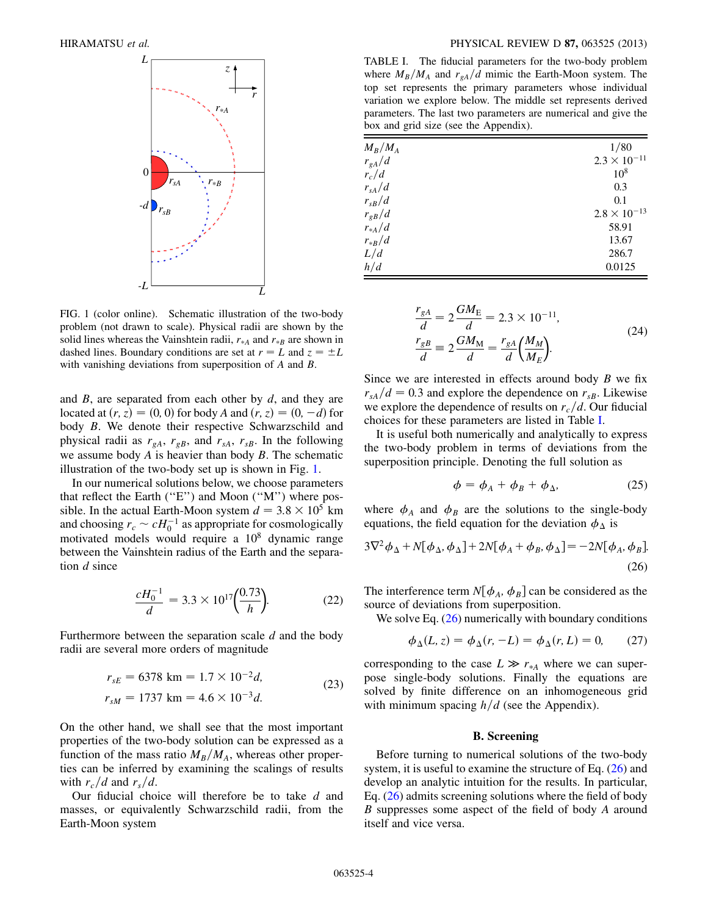<span id="page-3-1"></span>

FIG. 1 (color online). Schematic illustration of the two-body problem (not drawn to scale). Physical radii are shown by the solid lines whereas the Vainshtein radii,  $r_{*A}$  and  $r_{*B}$  are shown in dashed lines. Boundary conditions are set at  $r = L$  and  $z = \pm L$ with vanishing deviations from superposition of A and B.

and  $B$ , are separated from each other by  $d$ , and they are located at  $(r, z) = (0, 0)$  for body A and  $(r, z) = (0, -d)$  for body B. We denote their respective Schwarzschild and body B. We denote their respective Schwarzschild and physical radii as  $r_{gA}$ ,  $r_{gB}$ , and  $r_{sA}$ ,  $r_{sB}$ . In the following we assume body  $A$  is heavier than body  $B$ . The schematic illustration of the two-body set up is shown in Fig. [1](#page-3-1).

In our numerical solutions below, we choose parameters that reflect the Earth (''E'') and Moon (''M'') where possible. In the actual Earth-Moon system  $d = 3.8 \times 10^5$  km and choosing  $r_c \sim cH_0^{-1}$  as appropriate for cosmologically<br>motivated models, would require a 10<sup>8</sup> dynamic range motivated models would require a  $10<sup>8</sup>$  dynamic range between the Vainshtein radius of the Earth and the separation d since

$$
\frac{cH_0^{-1}}{d} = 3.3 \times 10^{17} \left(\frac{0.73}{h}\right). \tag{22}
$$

<span id="page-3-4"></span>Furthermore between the separation scale  $d$  and the body radii are several more orders of magnitude

$$
r_{sE} = 6378 \text{ km} = 1.7 \times 10^{-2} d,
$$
  
\n
$$
r_{sM} = 1737 \text{ km} = 4.6 \times 10^{-3} d.
$$
\n(23)

On the other hand, we shall see that the most important properties of the two-body solution can be expressed as a function of the mass ratio  $M_B/M_A$ , whereas other properties can be inferred by examining the scalings of results with  $r_c/d$  and  $r_s/d$ .

Our fiducial choice will therefore be to take d and masses, or equivalently Schwarzschild radii, from the Earth-Moon system

<span id="page-3-2"></span>TABLE I. The fiducial parameters for the two-body problem where  $M_B/M_A$  and  $r_{gA}/d$  mimic the Earth-Moon system. The top set represents the primary parameters whose individual variation we explore below. The middle set represents derived parameters. The last two parameters are numerical and give the box and grid size (see the Appendix).

| $M_B/M_A$  | 1/80                  |
|------------|-----------------------|
| $r_{gA}/d$ | $2.3 \times 10^{-11}$ |
| $r_c/d$    | $10^{8}$              |
| $r_{sA}/d$ | 0.3                   |
| $r_{sB}/d$ | 0.1                   |
| $r_{gB}/d$ | $2.8 \times 10^{-13}$ |
| $r_{*A}/d$ | 58.91                 |
| $r_{*B}/d$ | 13.67                 |
| L/d        | 286.7                 |
| h/d        | 0.0125                |

$$
\frac{r_{gA}}{d} = 2 \frac{GM_E}{d} = 2.3 \times 10^{-11}, \n\frac{r_{gB}}{d} = 2 \frac{GM_M}{d} = \frac{r_{gA}}{d} \left(\frac{M_M}{M_E}\right).
$$
\n(24)

Since we are interested in effects around body  $B$  we fix  $r_{sA}/d = 0.3$  and explore the dependence on  $r_{sB}$ . Likewise we explore the dependence of results on  $r_c/d$ . Our fiducial choices for these parameters are listed in Table [I.](#page-3-2)

It is useful both numerically and analytically to express the two-body problem in terms of deviations from the superposition principle. Denoting the full solution as

$$
\phi = \phi_A + \phi_B + \phi_\Delta, \tag{25}
$$

<span id="page-3-3"></span>where  $\phi_A$  and  $\phi_B$  are the solutions to the single-body equations, the field equation for the deviation  $\phi_{\Lambda}$  is

$$
3\nabla^2 \phi_{\Delta} + N[\phi_{\Delta}, \phi_{\Delta}] + 2N[\phi_A + \phi_B, \phi_{\Delta}] = -2N[\phi_A, \phi_B].
$$
\n(26)

The interference term  $N[\phi_A, \phi_B]$  can be considered as the source of deviations from superposition.

We solve Eq. ([26\)](#page-3-3) numerically with boundary conditions

$$
\phi_{\Delta}(L, z) = \phi_{\Delta}(r, -L) = \phi_{\Delta}(r, L) = 0, \qquad (27)
$$

corresponding to the case  $L \gg r_{A}$  where we can super-<br>nose, single-hody solutions. Finally the equations are pose single-body solutions. Finally the equations are solved by finite difference on an inhomogeneous grid with minimum spacing  $h/d$  (see the Appendix).

### B. Screening

<span id="page-3-0"></span>Before turning to numerical solutions of the two-body system, it is useful to examine the structure of Eq. ([26](#page-3-3)) and develop an analytic intuition for the results. In particular, Eq. [\(26](#page-3-3)) admits screening solutions where the field of body B suppresses some aspect of the field of body A around itself and vice versa.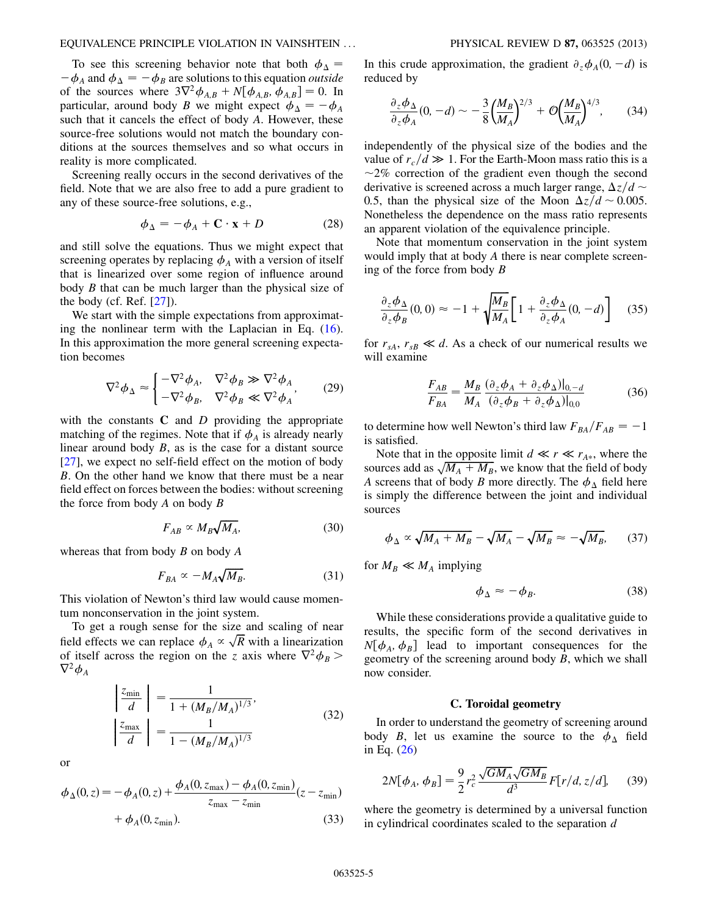#### EQUIVALENCE PRINCIPLE VIOLATION IN VAINSHTEIN ... PHYSICAL REVIEW D 87, 063525 (2013)

To see this screening behavior note that both  $\phi_{\Lambda}$  = of the sources where  $3\nabla^2 \phi_{A,B} + N[\phi_{A,B}, \phi_{A,B}] = 0$ . In<br>particular, around body *B* we might expect  $\phi_{A,B} = -\phi_{A,B}$ .  $\phi_A$  and  $\phi_{\Delta} = -\phi_B$  are solutions to this equation *outside*<br>the sources where  $3\nabla^2 \phi_{AB} + N[\phi_{AB} \phi_{AB}] = 0$ . In particular, around body B we might expect  $\phi_{\Delta} = -\phi_A$ <br>such that it cancels the effect of body A. However, these such that it cancels the effect of body A. However, these source-free solutions would not match the boundary conditions at the sources themselves and so what occurs in reality is more complicated.

Screening really occurs in the second derivatives of the field. Note that we are also free to add a pure gradient to any of these source-free solutions, e.g.,

$$
\phi_{\Delta} = -\phi_A + \mathbf{C} \cdot \mathbf{x} + D \tag{28}
$$

and still solve the equations. Thus we might expect that screening operates by replacing  $\phi_A$  with a version of itself that is linearized over some region of influence around body B that can be much larger than the physical size of the body (cf. Ref. [\[27\]](#page-13-14)).

We start with the simple expectations from approximating the nonlinear term with the Laplacian in Eq.  $(16)$ . In this approximation the more general screening expectation becomes

$$
\nabla^2 \phi_{\Delta} \approx \begin{cases}\n-\nabla^2 \phi_A, & \nabla^2 \phi_B \gg \nabla^2 \phi_A \\
-\nabla^2 \phi_B, & \nabla^2 \phi_B \ll \nabla^2 \phi_A\n\end{cases} (29)
$$

with the constants  $C$  and  $D$  providing the appropriate matching of the regimes. Note that if  $\phi_A$  is already nearly linear around body  $B$ , as is the case for a distant source [\[27\]](#page-13-14), we expect no self-field effect on the motion of body B. On the other hand we know that there must be a near field effect on forces between the bodies: without screening the force from body  $A$  on body  $B$ 

$$
F_{AB} \propto M_B \sqrt{M_A},\tag{30}
$$

whereas that from body  $B$  on body  $A$ 

$$
F_{BA} \propto -M_A \sqrt{M_B}.\tag{31}
$$

This violation of Newton's third law would cause momentum nonconservation in the joint system.

To get a rough sense for the size and scaling of near field effects we can replace  $\phi_A \propto \sqrt{R}$  with a linearization<br>of itself across the region on the z axis where  $\nabla^2 \phi_0$ of itself across the region on the z axis where  $\nabla^2 \phi_B$  $\nabla^2 {\boldsymbol{\phi}}_A$ 

$$
\left| \frac{z_{\min}}{d} \right| = \frac{1}{1 + (M_B/M_A)^{1/3}},
$$
\n
$$
\left| \frac{z_{\max}}{d} \right| = \frac{1}{1 - (M_B/M_A)^{1/3}}.
$$
\n(32)

or

$$
\phi_{\Delta}(0, z) = -\phi_A(0, z) + \frac{\phi_A(0, z_{\max}) - \phi_A(0, z_{\min})}{z_{\max} - z_{\min}}(z - z_{\min}) + \phi_A(0, z_{\min}).
$$
\n(33)

<span id="page-4-1"></span>In this crude approximation, the gradient  $\partial_z \phi_A(0, -d)$  is reduced by reduced by

$$
\frac{\partial_z \phi_\Delta}{\partial_z \phi_A}(0, -d) \sim -\frac{3}{8} \left(\frac{M_B}{M_A}\right)^{2/3} + \mathcal{O}\left(\frac{M_B}{M_A}\right)^{4/3},\tag{34}
$$

independently of the physical size of the bodies and the value of  $r_c/d \gg 1$ . For the Earth-Moon mass ratio this is a  $\sim 2\%$  correction of the gradient even though the second  $\sim$ 2% correction of the gradient even though the second derivative is screened across a much larger range,  $\Delta z/d \sim$ 0.5, than the physical size of the Moon  $\Delta z/d \sim 0.005$ . Nonetheless the dependence on the mass ratio represents an apparent violation of the equivalence principle.

Note that momentum conservation in the joint system would imply that at body A there is near complete screening of the force from body  $B$ 

$$
\frac{\partial_z \phi_{\Delta}}{\partial_z \phi_B}(0,0) \approx -1 + \sqrt{\frac{M_B}{M_A}} \bigg[ 1 + \frac{\partial_z \phi_{\Delta}}{\partial_z \phi_A}(0,-d) \bigg] \tag{35}
$$

<span id="page-4-3"></span>for  $r_{sA}$ ,  $r_{sB} \ll d$ . As a check of our numerical results we will examine

$$
\frac{F_{AB}}{F_{BA}} = \frac{M_B}{M_A} \frac{(\partial_z \phi_A + \partial_z \phi_\Delta)|_{0,-d}}{(\partial_z \phi_B + \partial_z \phi_\Delta)|_{0,0}}\tag{36}
$$

to determine how well Newton's third law  $F_{BA}/F_{AB} = -1$ <br>is satisfied is satisfied.

Note that in the opposite limit  $d \ll r \ll r_{A*}$ , where the sources add as  $\sqrt{M_A + M_B}$ , we know that the field of body A screens that of body B more directly. The  $\phi_2$ , field here A screens that of body B more directly. The  $\phi_{\Delta}$  field here is simply the difference between the joint and individual sources

<span id="page-4-2"></span>
$$
\phi_{\Delta} \propto \sqrt{M_A + M_B} - \sqrt{M_A} - \sqrt{M_B} \approx -\sqrt{M_B}, \qquad (37)
$$

for  $M_B \ll M_A$  implying

$$
\phi_{\Delta} \approx -\phi_B. \tag{38}
$$

While these considerations provide a qualitative guide to results, the specific form of the second derivatives in  $N[\phi_A, \phi_B]$  lead to important consequences for the geometry of the screening around body  $B$ , which we shall now consider.

## C. Toroidal geometry

<span id="page-4-0"></span>In order to understand the geometry of screening around body B, let us examine the source to the  $\phi_{\Delta}$  field in Eq. ([26](#page-3-3))

$$
2N[\phi_A, \phi_B] = \frac{9}{2}r_c^2 \frac{\sqrt{GM_A}\sqrt{GM_B}}{d^3}F[r/d, z/d], \quad (39)
$$

where the geometry is determined by a universal function in cylindrical coordinates scaled to the separation  $d$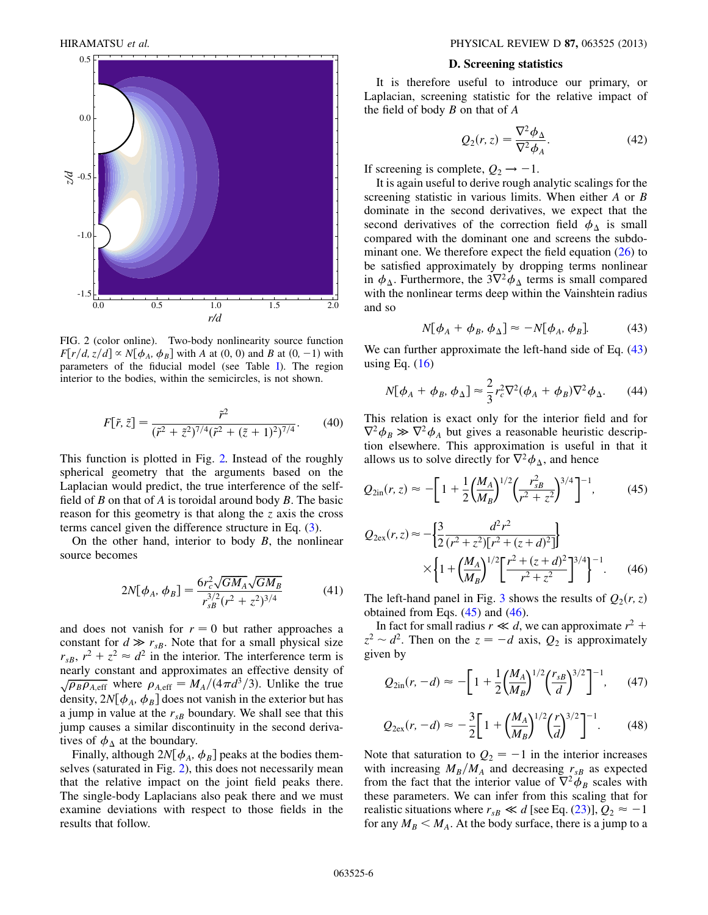<span id="page-5-1"></span>

FIG. 2 (color online). Two-body nonlinearity source function  $F[r/d, z/d] \propto N[\phi_A, \phi_B]$  with A at (0, 0) and B at (0, -1) with parameters of the fiducial model (see Table I). The region parameters of the fiducial model (see Table [I\)](#page-3-2). The region interior to the bodies, within the semicircles, is not shown.

$$
F[\tilde{r}, \tilde{z}] = \frac{\tilde{r}^2}{(\tilde{r}^2 + \tilde{z}^2)^{7/4} (\tilde{r}^2 + (\tilde{z} + 1)^2)^{7/4}}.
$$
 (40)

This function is plotted in Fig. [2.](#page-5-1) Instead of the roughly spherical geometry that the arguments based on the Laplacian would predict, the true interference of the selffield of  $B$  on that of  $A$  is toroidal around body  $B$ . The basic reason for this geometry is that along the  $z$  axis the cross terms cancel given the difference structure in Eq. [\(3](#page-1-4)).

On the other hand, interior to body  $B$ , the nonlinear source becomes

$$
2N[\phi_A, \phi_B] = \frac{6r_c^2 \sqrt{GM_A}\sqrt{GM_B}}{r_{SB}^{3/2}(r^2 + z^2)^{3/4}}
$$
(41)

and does not vanish for  $r = 0$  but rather approaches a<br>constant for  $d \gg r_{\text{B}}$ . Note that for a small physical size constant for  $d \gg r_{sB}$ . Note that for a small physical size  $r_{\text{B}} r_{\text{B}} r^2 + z^2 \approx d^2$  in the interior. The interference term is  $r_{sB}$ ,  $r^2 + z^2 \approx d^2$  in the interior. The interference term is nearly constant and approximates an effective density of  $\sqrt{\rho_B \rho_{A,eff}}$  where  $\rho_{A,eff} = M_A/(4\pi d^3/3)$ . Unlike the true density,  $2N[\phi_A, \phi_B]$  does not vanish in the exterior but has a jump in value at the  $r_{sB}$  boundary. We shall see that this jump causes a similar discontinuity in the second derivatives of  $\phi_{\Lambda}$  at the boundary.

Finally, although  $2N[\phi_A, \phi_B]$  peaks at the bodies themselves (saturated in Fig. [2\)](#page-5-1), this does not necessarily mean that the relative impact on the joint field peaks there. The single-body Laplacians also peak there and we must examine deviations with respect to those fields in the results that follow.

#### D. Screening statistics

<span id="page-5-6"></span><span id="page-5-0"></span>It is therefore useful to introduce our primary, or Laplacian, screening statistic for the relative impact of the field of body  $B$  on that of  $A$ 

$$
Q_2(r, z) = \frac{\nabla^2 \phi_{\Delta}}{\nabla^2 \phi_A}.
$$
 (42)

If screening is complete,  $Q_2 \rightarrow -1$ .<br>It is again useful to derive rough a

It is again useful to derive rough analytic scalings for the screening statistic in various limits. When either A or B dominate in the second derivatives, we expect that the second derivatives of the correction field  $\phi_{\Delta}$  is small compared with the dominant one and screens the subdominant one. We therefore expect the field equation  $(26)$  $(26)$  to be satisfied approximately by dropping terms nonlinear in  $\phi_{\Delta}$ . Furthermore, the  $3\nabla^2 \phi_{\Delta}$  terms is small compared with the nonlinear terms deep within the Vainshtein radius and so

$$
N[\phi_A + \phi_B, \phi_\Delta] \approx -N[\phi_A, \phi_B]. \tag{43}
$$

<span id="page-5-5"></span><span id="page-5-2"></span>We can further approximate the left-hand side of Eq.  $(43)$ using Eq.  $(16)$ 

$$
N[\phi_A + \phi_B, \phi_\Delta] \approx \frac{2}{3} r_c^2 \nabla^2 (\phi_A + \phi_B) \nabla^2 \phi_\Delta. \tag{44}
$$

This relation is exact only for the interior field and for  $\nabla^2 \phi_B \gg \nabla^2 \phi_A$  but gives a reasonable heuristic description elsewhere. This approximation is useful in that it tion elsewhere. This approximation is useful in that it allows us to solve directly for  $\nabla^2 \phi_{\Lambda}$ , and hence

<span id="page-5-4"></span>
$$
Q_{2\text{in}}(r,z) \approx -\bigg[1 + \frac{1}{2} \bigg(\frac{M_A}{M_B}\bigg)^{1/2} \bigg(\frac{r_{sB}^2}{r^2 + z^2}\bigg)^{3/4}\bigg]^{-1},\tag{45}
$$

$$
Q_{2ex}(r,z) \approx -\left\{\frac{3}{2} \frac{d^2 r^2}{(r^2 + z^2)[r^2 + (z + d)^2]}\right\}
$$

$$
\times \left\{1 + \left(\frac{M_A}{M_B}\right)^{1/2} \left[\frac{r^2 + (z + d)^2}{r^2 + z^2}\right]^{3/4}\right\}^{-1}.
$$
 (46)

<span id="page-5-3"></span>The left-hand panel in Fig. [3](#page-6-1) shows the results of  $Q_2(r, z)$ obtained from Eqs.  $(45)$  and  $(46)$  $(46)$  $(46)$ .

In fact for small radius  $r \ll d$ , we can approximate  $r^2$  +  $z^2 \sim d^2$ . Then on the  $z = -d$  axis,  $Q_2$  is approximately given by given by

<span id="page-5-7"></span>
$$
Q_{2\text{in}}(r, -d) \approx -\bigg[1 + \frac{1}{2} \bigg(\frac{M_A}{M_B}\bigg)^{1/2} \bigg(\frac{r_{sB}}{d}\bigg)^{3/2}\bigg]^{-1},\qquad(47)
$$

$$
Q_{2\text{ex}}(r, -d) \approx -\frac{3}{2} \bigg[ 1 + \bigg( \frac{M_A}{M_B} \bigg)^{1/2} \bigg( \frac{r}{d} \bigg)^{3/2} \bigg]^{-1} . \tag{48}
$$

Note that saturation to  $Q_2 = -1$  in the interior increases<br>with increasing  $M_2/M_1$  and decreasing  $r_2$  as expected with increasing  $M_B/M_A$  and decreasing  $r_{sB}$  as expected from the fact that the interior value of  $\nabla^2 \phi_B$  scales with these parameters. We can infer from this scaling that for realistic situations where  $r_{sB} \ll d$  [see Eq. [\(23\)](#page-3-4)],  $Q_2 \approx -1$ <br>for any  $M_2 \le M$ . At the body surface, there is a jump to a for any  $M_B < M_A$ . At the body surface, there is a jump to a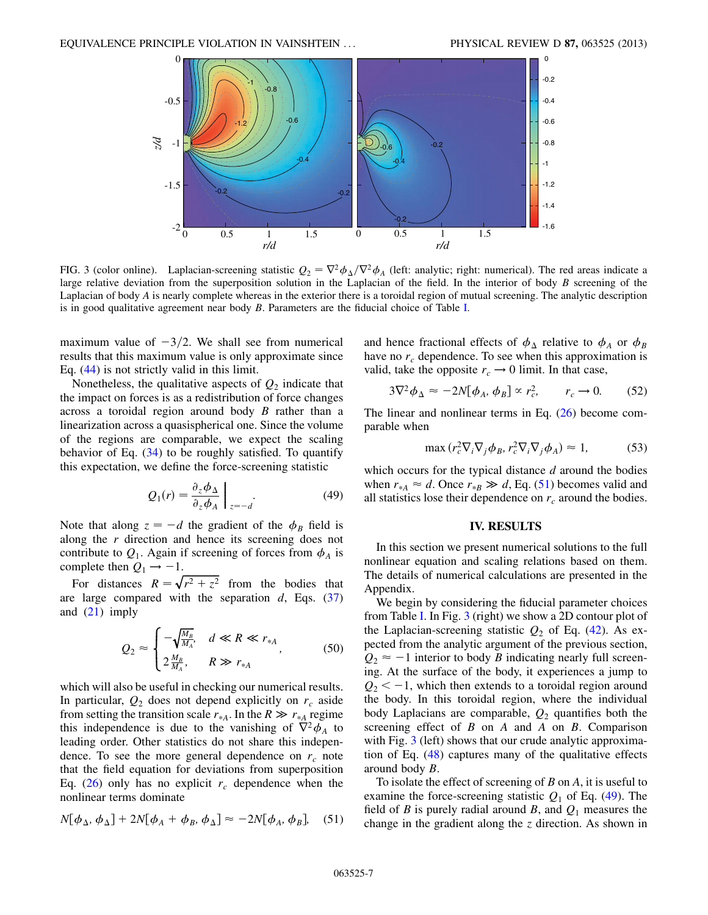<span id="page-6-1"></span>

FIG. 3 (color online). Laplacian-screening statistic  $Q_2 = \nabla^2 \phi_{\Delta}/\nabla^2 \phi_A$  (left: analytic; right: numerical). The red areas indicate a large relative deviation from the superposition solution in the Laplacian of the field. In the interior of body  $B$  screening of the Laplacian of body A is nearly complete whereas in the exterior there is a toroidal region of mutual screening. The analytic description is in good qualitative agreement near body B. Parameters are the fiducial choice of Table [I](#page-3-2).

maximum value of  $-3/2$ . We shall see from numerical<br>results that this maximum value is only approximate since results that this maximum value is only approximate since Eq. ([44](#page-5-5)) is not strictly valid in this limit.

Nonetheless, the qualitative aspects of  $Q_2$  indicate that the impact on forces is as a redistribution of force changes across a toroidal region around body  $B$  rather than a linearization across a quasispherical one. Since the volume of the regions are comparable, we expect the scaling behavior of Eq. ([34](#page-4-1)) to be roughly satisfied. To quantify this expectation, we define the force-screening statistic

$$
Q_1(r) = \frac{\partial_z \phi_\Delta}{\partial_z \phi_A} \bigg|_{z = -d}.
$$
 (49)

<span id="page-6-3"></span>Note that along  $z = -d$  the gradient of the  $\phi_B$  field is along the r direction and hence its screening does not along the  $r$  direction and hence its screening does not contribute to  $Q_1$ . Again if screening of forces from  $\phi_A$  is complete then  $Q_1 \rightarrow -1$ .

<span id="page-6-5"></span>For distances  $R = \sqrt{r^2 + z^2}$  from the bodies that<br>reference compared with the separation d Fos (37) are large compared with the separation  $d$ , Eqs. [\(37\)](#page-4-2) and ([21](#page-2-3)) imply

$$
Q_2 \approx \begin{cases} -\sqrt{\frac{M_B}{M_A}}, & d \ll R \ll r_{*A} \\ 2\frac{M_B}{M_A}, & R \gg r_{*A} \end{cases}
$$
 (50)

which will also be useful in checking our numerical results. In particular,  $Q_2$  does not depend explicitly on  $r_c$  aside from setting the transition scale  $r_{A}$ . In the  $R \gg r_{A}$  regime this independence is due to the vanishing of  $\nabla^2 \phi$ , to this independence is due to the vanishing of  $\nabla^2 \phi_A$  to leading order. Other statistics do not share this independence. To see the more general dependence on  $r_c$  note that the field equation for deviations from superposition Eq. ([26](#page-3-3)) only has no explicit  $r_c$  dependence when the nonlinear terms dominate

<span id="page-6-2"></span>
$$
N[\phi_{\Delta}, \phi_{\Delta}] + 2N[\phi_A + \phi_B, \phi_{\Delta}] \approx -2N[\phi_A, \phi_B], \quad (51)
$$

and hence fractional effects of  $\phi_{\Delta}$  relative to  $\phi_A$  or  $\phi_B$ have no  $r_c$  dependence. To see when this approximation is valid, take the opposite  $r_c \rightarrow 0$  limit. In that case,

<span id="page-6-4"></span>
$$
3\nabla^2 \phi_{\Delta} \approx -2N[\phi_A, \phi_B] \propto r_c^2, \qquad r_c \to 0. \tag{52}
$$

The linear and nonlinear terms in Eq. ([26](#page-3-3)) become comparable when

$$
\max\left(r_c^2 \nabla_i \nabla_j \phi_B, r_c^2 \nabla_i \nabla_j \phi_A\right) \approx 1,\tag{53}
$$

which occurs for the typical distance  $d$  around the bodies when  $r_{A} \approx d$ . Once  $r_{B} \gg d$ , Eq. ([51](#page-6-2)) becomes valid and all statistics lose their dependence on r, around the hodies all statistics lose their dependence on  $r_c$  around the bodies.

## IV. RESULTS

<span id="page-6-0"></span>In this section we present numerical solutions to the full nonlinear equation and scaling relations based on them. The details of numerical calculations are presented in the Appendix.

We begin by considering the fiducial parameter choices from Table [I.](#page-3-2) In Fig. [3](#page-6-1) (right) we show a 2D contour plot of the Laplacian-screening statistic  $Q_2$  of Eq. ([42](#page-5-6)). As expected from the analytic argument of the previous section,  $Q_2 \approx -1$  interior to body B indicating nearly full screen-<br>ing. At the surface of the body it experiences a jump to ing. At the surface of the body, it experiences a jump to  $Q_2 < -1$ , which then extends to a toroidal region around<br>the body. In this toroidal region, where the individual the body. In this toroidal region, where the individual body Laplacians are comparable,  $Q_2$  quantifies both the screening effect of  $B$  on  $A$  and  $A$  on  $B$ . Comparison with Fig. [3](#page-6-1) (left) shows that our crude analytic approximation of Eq. ([48](#page-5-7)) captures many of the qualitative effects around body B.

To isolate the effect of screening of  $B$  on  $A$ , it is useful to examine the force-screening statistic  $Q_1$  of Eq. ([49](#page-6-3)). The field of B is purely radial around B, and  $Q_1$  measures the change in the gradient along the  $z$  direction. As shown in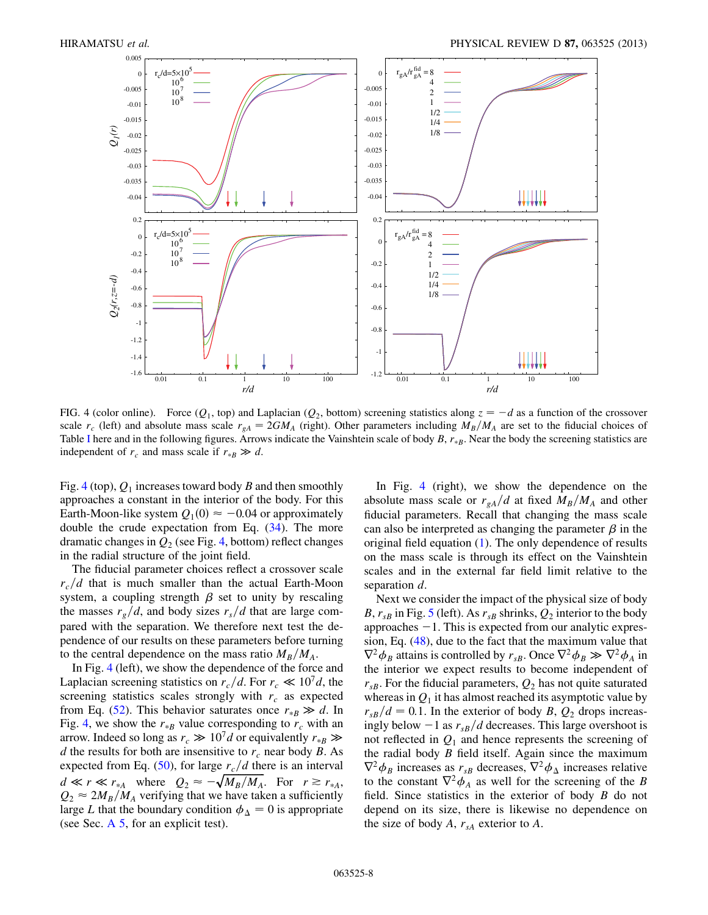<span id="page-7-0"></span>

FIG. 4 (color online). Force  $(Q_1, \text{top})$  and Laplacian  $(Q_2, \text{bottom})$  screening statistics along  $z = -d$  as a function of the crossover scale  $r_1$  are left) and absolute mass scale  $r_2 = 2GM$ . (right) Other parameters includi scale  $r_c$  (left) and absolute mass scale  $r_{gA} = 2GM_A$  (right). Other parameters including  $M_B/M_A$  are set to the fiducial choices of Table [I](#page-3-2) here and in the following figures. Arrows indicate the Vainshtein scale of body  $B$ ,  $r_{B}$ . Near the body the screening statistics are independent of  $r_c$  and mass scale if  $r_{\ast B} \gg d$ .

Fig. [4](#page-7-0) (top),  $Q_1$  increases toward body B and then smoothly approaches a constant in the interior of the body. For this Earth-Moon-like system  $Q_1(0) \approx -0.04$  or approximately<br>double the crude expectation from Eq. (34). The more double the crude expectation from Eq.  $(34)$  $(34)$  $(34)$ . The more dramatic changes in  $Q_2$  (see Fig. [4,](#page-7-0) bottom) reflect changes in the radial structure of the joint field.

The fiducial parameter choices reflect a crossover scale  $r_c/d$  that is much smaller than the actual Earth-Moon system, a coupling strength  $\beta$  set to unity by rescaling the masses  $r_g/d$ , and body sizes  $r_s/d$  that are large compared with the separation. We therefore next test the dependence of our results on these parameters before turning to the central dependence on the mass ratio  $M_B/M_A$ .

In Fig. [4](#page-7-0) (left), we show the dependence of the force and Laplacian screening statistics on  $r_c/d$ . For  $r_c \ll 10^7 d$ , the screening statistics scales strongly with  $r_c$  as expected from Eq. ([52](#page-6-4)). This behavior saturates once  $r_{*B} \gg d$ . In<br>Fig. 4, we show the  $r_{\text{th}}$  value corresponding to r, with an Fig. [4,](#page-7-0) we show the  $r_{*B}$  value corresponding to  $r_c$  with an arrow. Indeed so long as  $r_c \gg 10^7 d$  or equivalently  $r_{\ast B} \gg d$  the results for both are insensitive to r near body R. As d the results for both are insensitive to  $r_c$  near body B. As expected from Eq. ([50\)](#page-6-5), for large  $r_c/d$  there is an interval  $d \ll r \ll r_{*A}$  where  $Q_2 \approx -\sqrt{M_B/M_A}$ . For  $r \gtrsim r_{*A}$ ,<br>  $Q_2 \approx 2M_B/M_A$ , verifying that we have taken a sufficiently  $Q_2 \approx 2M_B/M_A$  verifying that we have taken a sufficiently large L that the boundary condition  $\phi_{\Delta} = 0$  is appropriate (see Sec.  $A$  5, for an explicit test).

In Fig. [4](#page-7-0) (right), we show the dependence on the absolute mass scale or  $r_{gA}/d$  at fixed  $M_B/M_A$  and other fiducial parameters. Recall that changing the mass scale can also be interpreted as changing the parameter  $\beta$  in the original field equation [\(1](#page-1-1)). The only dependence of results on the mass scale is through its effect on the Vainshtein scales and in the external far field limit relative to the separation d.

Next we consider the impact of the physical size of body B,  $r_{sB}$  in Fig. [5](#page-8-0) (left). As  $r_{sB}$  shrinks,  $Q_2$  interior to the body approaches  $-1$ . This is expected from our analytic expres-<br>sion. Eq. (48), due to the fact that the maximum value that sion, Eq. [\(48\)](#page-5-7), due to the fact that the maximum value that  $\nabla^2 \phi_B$  attains is controlled by  $r_{sB}$ . Once  $\nabla^2 \phi_B \gg \nabla^2 \phi_A$  in the interior we expect results to become independent of the interior we expect results to become independent of  $r_{sB}$ . For the fiducial parameters,  $Q_2$  has not quite saturated whereas in  $Q_1$  it has almost reached its asymptotic value by  $r_{sB}/d = 0.1$ . In the exterior of body B,  $Q_2$  drops increasingly below  $-1$  as  $r_{sB}/d$  decreases. This large overshoot is<br>not reflected in  $Q_1$  and hence represents the screening of not reflected in  $Q_1$  and hence represents the screening of the radial body  $B$  field itself. Again since the maximum  $\nabla^2 \phi_B$  increases as  $r_{sB}$  decreases,  $\nabla^2 \phi_{\Delta}$  increases relative to the constant  $\nabla^2 \phi_A$  as well for the screening of the B field. Since statistics in the exterior of body B do not depend on its size, there is likewise no dependence on the size of body A,  $r_{sA}$  exterior to A.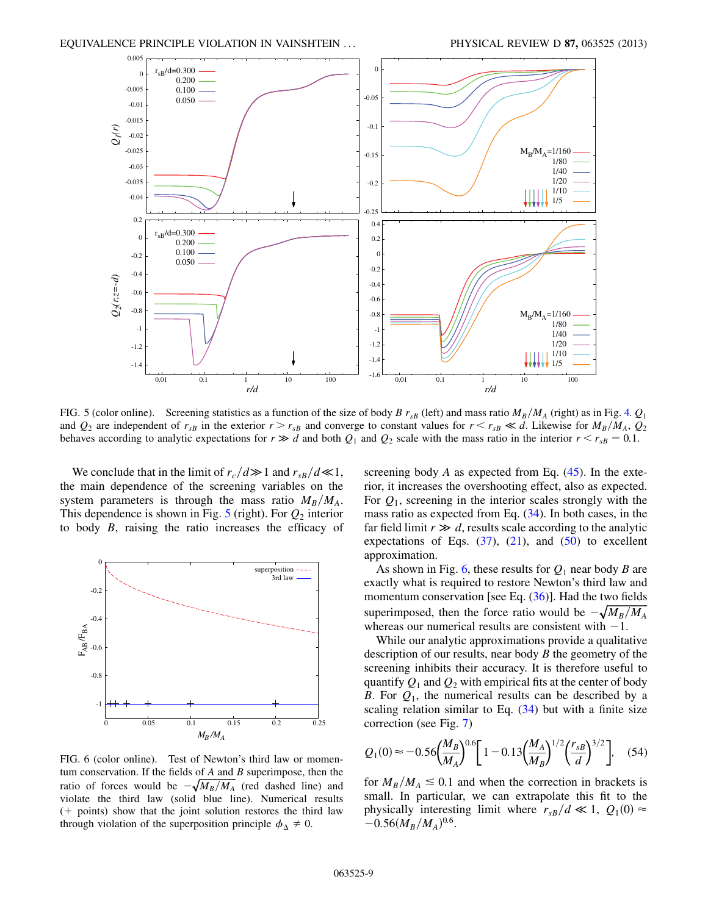<span id="page-8-0"></span>

FIG. 5 (color online). Screening statistics as a function of the size of body B  $r_{sB}$  (left) and mass ratio  $M_B/M_A$  (right) as in Fig. [4.](#page-7-0)  $Q_1$ and  $Q_2$  are independent of  $r_{sB}$  in the exterior  $r > r_{sB}$  and converge to constant values for  $r < r_{sB} \ll d$ . Likewise for  $M_B/M_A$ ,  $Q_2$ behaves according to analytic expectations for  $r \gg d$  and both  $Q_1$  and  $Q_2$  scale with the mass ratio in the interior  $r < r_{sB} = 0.1$ .

We conclude that in the limit of  $r_c/d \gg 1$  and  $r_{sB}/d \ll 1$ ,<br>respectively and dependence of the screening variables on the the main dependence of the screening variables on the system parameters is through the mass ratio  $M_B/M_A$ . This dependence is shown in Fig. [5](#page-8-0) (right). For  $Q_2$  interior to body B, raising the ratio increases the efficacy of

<span id="page-8-1"></span>

FIG. 6 (color online). Test of Newton's third law or momentum conservation. If the fields of  $A$  and  $B$  superimpose, then the ratio of forces would be  $-\sqrt{M_B/M_A}$  (red dashed line) and<br>violate the third law (solid blue line) Numerical results violate the third law (solid blue line). Numerical results  $(+)$  points) show that the joint solution restores the third law through violation of the superposition principle  $\phi_{\Delta} \neq 0$ .

screening body  $A$  as expected from Eq.  $(45)$  $(45)$  $(45)$ . In the exterior, it increases the overshooting effect, also as expected. For  $Q_1$ , screening in the interior scales strongly with the mass ratio as expected from Eq. [\(34\)](#page-4-1). In both cases, in the far field limit  $r \gg d$ , results scale according to the analytic<br>expectations of Eqs. (37) (21) and (50) to excellent expectations of Eqs.  $(37)$ ,  $(21)$ , and  $(50)$  to excellent approximation.

As shown in Fig. [6](#page-8-1), these results for  $Q_1$  near body B are exactly what is required to restore Newton's third law and momentum conservation [see Eq.  $(36)$ ]. Had the two fields superimposed, then the force ratio would be  $-\sqrt{M_B/M_A}$ <br>whereas our numerical results are consistent with  $-1$ whereas our numerical results are consistent with  $-1$ .<br>While our analytic approximations provide a qualita

While our analytic approximations provide a qualitative description of our results, near body  $B$  the geometry of the screening inhibits their accuracy. It is therefore useful to quantify  $Q_1$  and  $Q_2$  with empirical fits at the center of body B. For  $Q_1$ , the numerical results can be described by a scaling relation similar to Eq. ([34](#page-4-1)) but with a finite size correction (see Fig. [7](#page-9-1))

<span id="page-8-2"></span>
$$
Q_1(0) \approx -0.56 \left(\frac{M_B}{M_A}\right)^{0.6} \left[1 - 0.13 \left(\frac{M_A}{M_B}\right)^{1/2} \left(\frac{r_{sB}}{d}\right)^{3/2}\right], \quad (54)
$$

for  $M_B/M_A \leq 0.1$  and when the correction in brackets is small. In particular, we can extrapolate this fit to the physically interesting limit where  $r_{sB}/d \ll 1$ ,  $Q_1(0) \approx$  $-0.56(M_B/M_A)^{0.6}$ .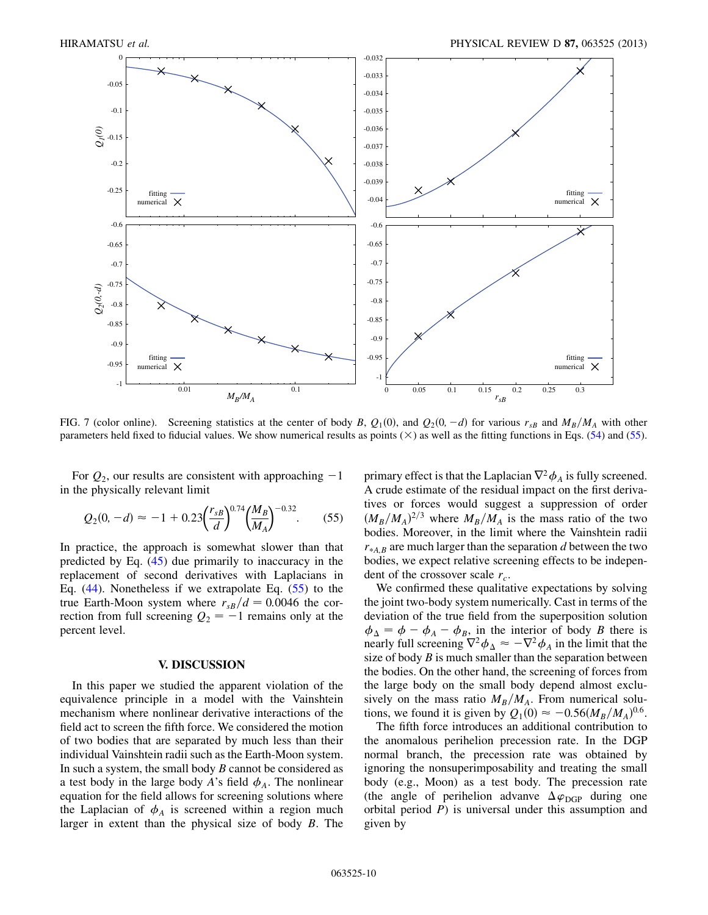<span id="page-9-1"></span>

FIG. 7 (color online). Screening statistics at the center of body B,  $Q_1(0)$ , and  $Q_2(0, -d)$  for various  $r_{sB}$  and  $M_B/M_A$  with other parameters held fixed to fiducial values. We show numerical results as points ( $\times$ ) parameters held fixed to fiducial values. We show numerical results as points  $(\times)$  as well as the fitting functions in Eqs. ([54](#page-8-2)) and [\(55\)](#page-9-2).

<span id="page-9-2"></span>For  $Q_2$ , our results are consistent with approaching  $-1$ <br>the physically relevant limit in the physically relevant limit

$$
Q_2(0, -d) \approx -1 + 0.23 \left(\frac{r_{sB}}{d}\right)^{0.74} \left(\frac{M_B}{M_A}\right)^{-0.32}.
$$
 (55)

In practice, the approach is somewhat slower than that predicted by Eq. ([45](#page-5-3)) due primarily to inaccuracy in the replacement of second derivatives with Laplacians in Eq. [\(44\)](#page-5-5). Nonetheless if we extrapolate Eq. ([55](#page-9-2)) to the true Earth-Moon system where  $r_{sB}/d = 0.0046$  the correction from full screening  $Q_2 = -1$  remains only at the nercent level percent level.

### V. DISCUSSION

<span id="page-9-0"></span>In this paper we studied the apparent violation of the equivalence principle in a model with the Vainshtein mechanism where nonlinear derivative interactions of the field act to screen the fifth force. We considered the motion of two bodies that are separated by much less than their individual Vainshtein radii such as the Earth-Moon system. In such a system, the small body  $B$  cannot be considered as a test body in the large body A's field  $\phi_A$ . The nonlinear equation for the field allows for screening solutions where the Laplacian of  $\phi_A$  is screened within a region much larger in extent than the physical size of body B. The primary effect is that the Laplacian  $\nabla^2 \phi_A$  is fully screened. A crude estimate of the residual impact on the first derivatives or forces would suggest a suppression of order  $(M_B/M_A)^{2/3}$  where  $M_B/M_A$  is the mass ratio of the two<br>bodies Moreover in the limit where the Vainshtein radii bodies. Moreover, in the limit where the Vainshtein radii  $r_{*AB}$  are much larger than the separation d between the two bodies, we expect relative screening effects to be independent of the crossover scale  $r_c$ .

We confirmed these qualitative expectations by solving the joint two-body system numerically. Cast in terms of the deviation of the true field from the superposition solution  $\phi_{\Delta} = \phi - \phi_A - \phi_B$ , in the interior of body B there is<br>nearly full screening  $\nabla^2 \phi_{\Delta} \approx -\nabla^2 \phi_{\Delta}$  in the limit that the nearly full screening  $\nabla^2 \phi_{\Delta} \approx -\nabla^2 \phi_A$  in the limit that the sense of body *R* is much smaller than the senaration between size of body  $B$  is much smaller than the separation between the bodies. On the other hand, the screening of forces from the large body on the small body depend almost exclusively on the mass ratio  $M_B/M_A$ . From numerical solutions, we found it is given by  $Q_1(0) \approx -0.56(M_B/M_A)^{0.6}$ .<br>The fifth force introduces an additional contribution to

The fifth force introduces an additional contribution to the anomalous perihelion precession rate. In the DGP normal branch, the precession rate was obtained by ignoring the nonsuperimposability and treating the small body (e.g., Moon) as a test body. The precession rate (the angle of perihelion advanve  $\Delta \varphi_{\text{DGP}}$  during one orbital period  $P$ ) is universal under this assumption and given by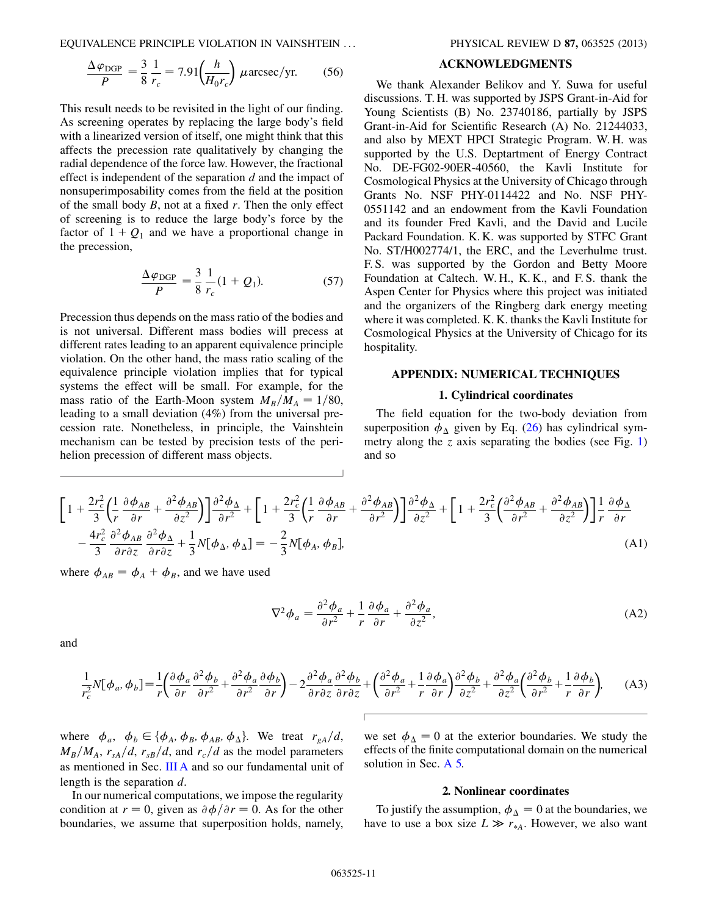EQUIVALENCE PRINCIPLE VIOLATION IN VAINSHTEIN ... PHYSICAL REVIEW D 87, 063525 (2013)

$$
\frac{\Delta \varphi_{\text{DGP}}}{P} = \frac{3}{8} \frac{1}{r_c} = 7.91 \left( \frac{h}{H_0 r_c} \right) \mu \text{arcsec/yr.}
$$
 (56)

This result needs to be revisited in the light of our finding. As screening operates by replacing the large body's field with a linearized version of itself, one might think that this affects the precession rate qualitatively by changing the radial dependence of the force law. However, the fractional effect is independent of the separation  $d$  and the impact of nonsuperimposability comes from the field at the position of the small body  $B$ , not at a fixed  $r$ . Then the only effect of screening is to reduce the large body's force by the factor of  $1 + Q_1$  and we have a proportional change in the precession,

$$
\frac{\Delta \varphi_{\text{DGP}}}{P} = \frac{3}{8} \frac{1}{r_c} (1 + Q_1). \tag{57}
$$

Precession thus depends on the mass ratio of the bodies and is not universal. Different mass bodies will precess at different rates leading to an apparent equivalence principle violation. On the other hand, the mass ratio scaling of the equivalence principle violation implies that for typical systems the effect will be small. For example, for the mass ratio of the Earth-Moon system  $M_B/M_A = 1/80$ , leading to a small deviation (4%) from the universal precession rate. Nonetheless, in principle, the Vainshtein mechanism can be tested by precision tests of the perihelion precession of different mass objects.

# ACKNOWLEDGMENTS

We thank Alexander Belikov and Y. Suwa for useful discussions. T. H. was supported by JSPS Grant-in-Aid for Young Scientists (B) No. 23740186, partially by JSPS Grant-in-Aid for Scientific Research (A) No. 21244033, and also by MEXT HPCI Strategic Program. W. H. was supported by the U.S. Deptartment of Energy Contract No. DE-FG02-90ER-40560, the Kavli Institute for Cosmological Physics at the University of Chicago through Grants No. NSF PHY-0114422 and No. NSF PHY-0551142 and an endowment from the Kavli Foundation and its founder Fred Kavli, and the David and Lucile Packard Foundation. K. K. was supported by STFC Grant No. ST/H002774/1, the ERC, and the Leverhulme trust. F. S. was supported by the Gordon and Betty Moore Foundation at Caltech. W. H., K. K., and F. S. thank the Aspen Center for Physics where this project was initiated and the organizers of the Ringberg dark energy meeting where it was completed. K. K. thanks the Kavli Institute for Cosmological Physics at the University of Chicago for its hospitality.

## APPENDIX: NUMERICAL TECHNIQUES

#### 1. Cylindrical coordinates

The field equation for the two-body deviation from superposition  $\phi_{\Delta}$  given by Eq. [\(26\)](#page-3-3) has cylindrical sym-metry along the z axis separating the bodies (see Fig. [1\)](#page-3-1) and so

<span id="page-10-0"></span>
$$
\left[1+\frac{2r_c^2}{3}\left(\frac{1}{r}\frac{\partial\phi_{AB}}{\partial r}+\frac{\partial^2\phi_{AB}}{\partial z^2}\right)\right]\frac{\partial^2\phi_{\Delta}}{\partial r^2}+\left[1+\frac{2r_c^2}{3}\left(\frac{1}{r}\frac{\partial\phi_{AB}}{\partial r}+\frac{\partial^2\phi_{AB}}{\partial r^2}\right)\right]\frac{\partial^2\phi_{\Delta}}{\partial z^2}+\left[1+\frac{2r_c^2}{3}\left(\frac{\partial^2\phi_{AB}}{\partial r^2}+\frac{\partial^2\phi_{AB}}{\partial z^2}\right)\right]\frac{1}{r}\frac{\partial\phi_{\Delta}}{\partial r} -\frac{4r_c^2}{3}\frac{\partial^2\phi_{AB}}{\partial r\partial z}\frac{\partial^2\phi_{\Delta}}{\partial r\partial z}+\frac{1}{3}N[\phi_{\Delta},\phi_{\Delta}]=-\frac{2}{3}N[\phi_A,\phi_B],\tag{A1}
$$

where  $\phi_{AB} = \phi_A + \phi_B$ , and we have used

$$
\nabla^2 \phi_a = \frac{\partial^2 \phi_a}{\partial r^2} + \frac{1}{r} \frac{\partial \phi_a}{\partial r} + \frac{\partial^2 \phi_a}{\partial z^2},\tag{A2}
$$

<span id="page-10-1"></span>and

r2

$$
\frac{1}{r_c^2} N[\phi_a, \phi_b] = \frac{1}{r} \left( \frac{\partial \phi_a}{\partial r} \frac{\partial^2 \phi_b}{\partial r^2} + \frac{\partial^2 \phi_a}{\partial r^2} \frac{\partial \phi_b}{\partial r} \right) - 2 \frac{\partial^2 \phi_a}{\partial r \partial z} \frac{\partial^2 \phi_b}{\partial r \partial z} + \left( \frac{\partial^2 \phi_a}{\partial r^2} + \frac{1}{r} \frac{\partial \phi_a}{\partial r} \right) \frac{\partial^2 \phi_b}{\partial z^2} + \frac{\partial^2 \phi_a}{\partial z^2} \left( \frac{\partial^2 \phi_b}{\partial r^2} + \frac{1}{r} \frac{\partial \phi_b}{\partial r} \right), \tag{A3}
$$

where  $\phi_a$ ,  $\phi_b \in {\phi_A, \phi_B, \phi_{AB}, \phi_{\Delta}}$ . We treat  $r_{gA}/d$ ,  $M_B/M_A$ ,  $r_{sA}/d$ ,  $r_{sB}/d$ , and  $r_c/d$  as the model parameters as mentioned in Sec. [III A](#page-2-1) and so our fundamental unit of length is the separation d.

In our numerical computations, we impose the regularity condition at  $r = 0$ , given as  $\partial \phi / \partial r = 0$ . As for the other boundaries, we assume that superposition holds, namely, we set  $\phi_{\Delta} = 0$  at the exterior boundaries. We study the effects of the finite computational domain on the numerical solution in Sec. [A 5.](#page-13-21)

## 2. Nonlinear coordinates

To justify the assumption,  $\phi_{\Delta} = 0$  at the boundaries, we have to use a box size  $L \gg r_{A}$ . However, we also want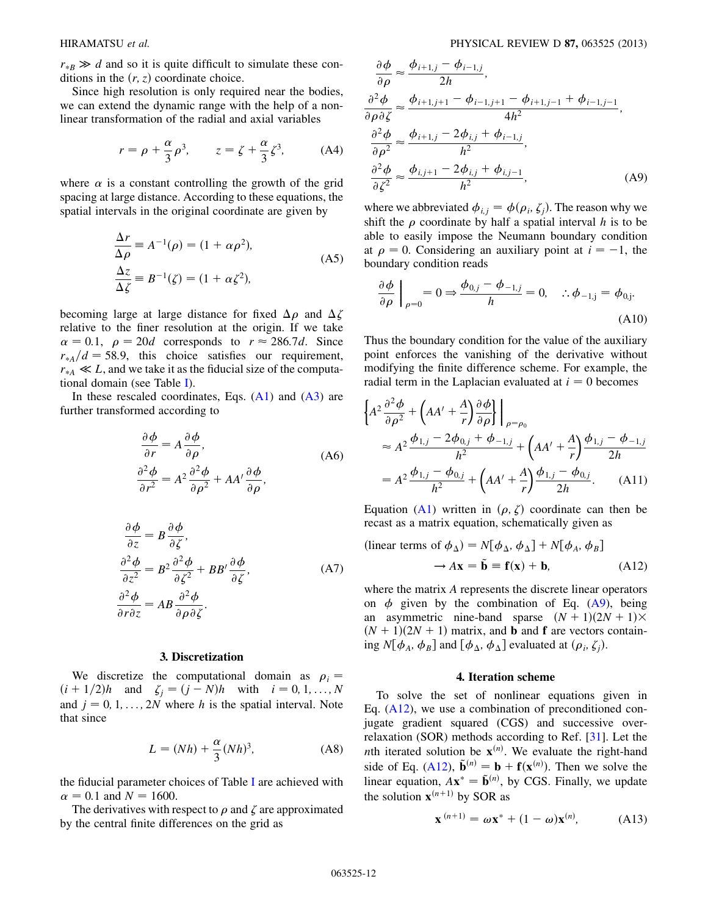$r_{\ast}B \gg d$  and so it is quite difficult to simulate these conditions in the  $(r, z)$  coordinate choice ditions in the  $(r, z)$  coordinate choice.

Since high resolution is only required near the bodies, we can extend the dynamic range with the help of a nonlinear transformation of the radial and axial variables

$$
r = \rho + \frac{\alpha}{3}\rho^3, \qquad z = \zeta + \frac{\alpha}{3}\zeta^3, \tag{A4}
$$

where  $\alpha$  is a constant controlling the growth of the grid spacing at large distance. According to these equations, the spatial intervals in the original coordinate are given by

$$
\frac{\Delta r}{\Delta \rho} \equiv A^{-1}(\rho) = (1 + \alpha \rho^2),
$$
  
\n
$$
\frac{\Delta z}{\Delta \zeta} \equiv B^{-1}(\zeta) = (1 + \alpha \zeta^2),
$$
\n(A5)

becoming large at large distance for fixed  $\Delta \rho$  and  $\Delta \zeta$ relative to the finer resolution at the origin. If we take  $\alpha = 0.1$ ,  $\rho = 20d$  corresponds to  $r \approx 286.7d$ . Since  $r_{*A}/d = 58.9$ , this choice satisfies our requirement,  $r_{\ast A} \ll L$ , and we take it as the fiducial size of the computational domain (see Table [I](#page-3-2)).

In these rescaled coordinates, Eqs.  $(A1)$  $(A1)$  $(A1)$  and  $(A3)$  $(A3)$  are further transformed according to

$$
\frac{\partial \phi}{\partial r} = A \frac{\partial \phi}{\partial \rho},
$$
\n
$$
\frac{\partial^2 \phi}{\partial r^2} = A^2 \frac{\partial^2 \phi}{\partial \rho^2} + AA' \frac{\partial \phi}{\partial \rho},
$$
\n(A6)

$$
\frac{\partial \phi}{\partial z} = B \frac{\partial \phi}{\partial \zeta},
$$
\n
$$
\frac{\partial^2 \phi}{\partial z^2} = B^2 \frac{\partial^2 \phi}{\partial \zeta^2} + BB' \frac{\partial \phi}{\partial \zeta},
$$
\n(A7)\n
$$
\frac{\partial^2 \phi}{\partial r \partial z} = AB \frac{\partial^2 \phi}{\partial \rho \partial \zeta}.
$$

#### 3. Discretization

We discretize the computational domain as  $\rho_i =$  $(i + 1/2)h$  and  $\zeta_j = (j - N)h$  with  $i = 0, 1, ..., N$ <br>and  $i = 0, 1, ..., 2N$  where h is the spatial interval. Note and  $j = 0, 1, \ldots, 2N$  where h is the spatial interval. Note that since

$$
L = (Nh) + \frac{\alpha}{3}(Nh)^3,
$$
 (A8)

the fiducial parameter choices of Table [I](#page-3-2) are achieved with  $\alpha = 0.1$  and  $N = 1600$ .

The derivatives with respect to  $\rho$  and  $\zeta$  are approximated by the central finite differences on the grid as

<span id="page-11-0"></span>
$$
\frac{\partial \phi}{\partial \rho} \approx \frac{\phi_{i+1,j} - \phi_{i-1,j}}{2h},
$$
  
\n
$$
\frac{\partial^2 \phi}{\partial \rho \partial \zeta} \approx \frac{\phi_{i+1,j+1} - \phi_{i-1,j+1} - \phi_{i+1,j-1} + \phi_{i-1,j-1}}{4h^2},
$$
  
\n
$$
\frac{\partial^2 \phi}{\partial \rho^2} \approx \frac{\phi_{i+1,j} - 2\phi_{i,j} + \phi_{i-1,j}}{h^2},
$$
  
\n
$$
\frac{\partial^2 \phi}{\partial \zeta^2} \approx \frac{\phi_{i,j+1} - 2\phi_{i,j} + \phi_{i,j-1}}{h^2},
$$
 (A9)

where we abbreviated  $\phi_{i,j} = \phi(\rho_i, \zeta_i)$ . The reason why we shift the  $\rho$  coordinate by half a spatial interval h is to be able to easily impose the Neumann boundary condition at  $\rho = 0$ . Considering an auxiliary point at  $i = -1$ , the boundary condition reads boundary condition reads

$$
\frac{\partial \phi}{\partial \rho}\Big|_{\rho=0} = 0 \Rightarrow \frac{\phi_{0,j} - \phi_{-1,j}}{h} = 0, \quad \therefore \phi_{-1,j} = \phi_{0,j}.
$$
\n(A10)

Thus the boundary condition for the value of the auxiliary point enforces the vanishing of the derivative without modifying the finite difference scheme. For example, the radial term in the Laplacian evaluated at  $i = 0$  becomes

$$
\left\{ A^2 \frac{\partial^2 \phi}{\partial \rho^2} + \left( AA' + \frac{A}{r} \right) \frac{\partial \phi}{\partial \rho} \right\} \Big|_{\rho = \rho_0}
$$
  
\n
$$
\approx A^2 \frac{\phi_{1,j} - 2\phi_{0,j} + \phi_{-1,j}}{h^2} + \left( AA' + \frac{A}{r} \right) \frac{\phi_{1,j} - \phi_{-1,j}}{2h}
$$
  
\n
$$
= A^2 \frac{\phi_{1,j} - \phi_{0,j}}{h^2} + \left( AA' + \frac{A}{r} \right) \frac{\phi_{1,j} - \phi_{0,j}}{2h}. \tag{A11}
$$

<span id="page-11-1"></span>Equation [\(A1\)](#page-10-0) written in  $(\rho, \zeta)$  coordinate can then be recast as a matrix equation, schematically given as

(linear terms of 
$$
\phi_{\Delta}
$$
) =  $N[\phi_{\Delta}, \phi_{\Delta}] + N[\phi_A, \phi_B]$   
\n $\rightarrow A\mathbf{x} = \tilde{\mathbf{b}} \equiv \mathbf{f}(\mathbf{x}) + \mathbf{b},$  (A12)

where the matrix A represents the discrete linear operators on  $\phi$  given by the combination of Eq. [\(A9](#page-11-0)), being an asymmetric nine-band sparse  $(N + 1)(2N + 1) \times$  $(N + 1)(2N + 1)$  matrix, and **b** and **f** are vectors containing  $N[\phi_A, \phi_B]$  and  $[\phi_A, \phi_A]$  evaluated at  $(\rho_i, \zeta_i)$ .

#### 4. Iteration scheme

To solve the set of nonlinear equations given in Eq.  $(A12)$  $(A12)$ , we use a combination of preconditioned conjugate gradient squared (CGS) and successive overrelaxation (SOR) methods according to Ref. [\[31](#page-13-22)]. Let the *nth* iterated solution be  $\mathbf{x}^{(n)}$ . We evaluate the right-hand side of Eq. [\(A12](#page-11-1)),  $\tilde{\mathbf{b}}^{(n)} = \mathbf{b} + \mathbf{f}(\mathbf{x}^{(n)})$ . Then we solve the ). Then we solve the  $\sum_{n=1}^{\infty}$  Finally, we undate linear equation,  $A\mathbf{x}^* = \tilde{\mathbf{b}}^{(n)}$ , by CGS. Finally, we update the solution  $\mathbf{x}^{(n+1)}$  by SOR as

<span id="page-11-2"></span>
$$
\mathbf{x}^{(n+1)} = \boldsymbol{\omega} \mathbf{x}^* + (1 - \boldsymbol{\omega}) \mathbf{x}^{(n)}, \tag{A13}
$$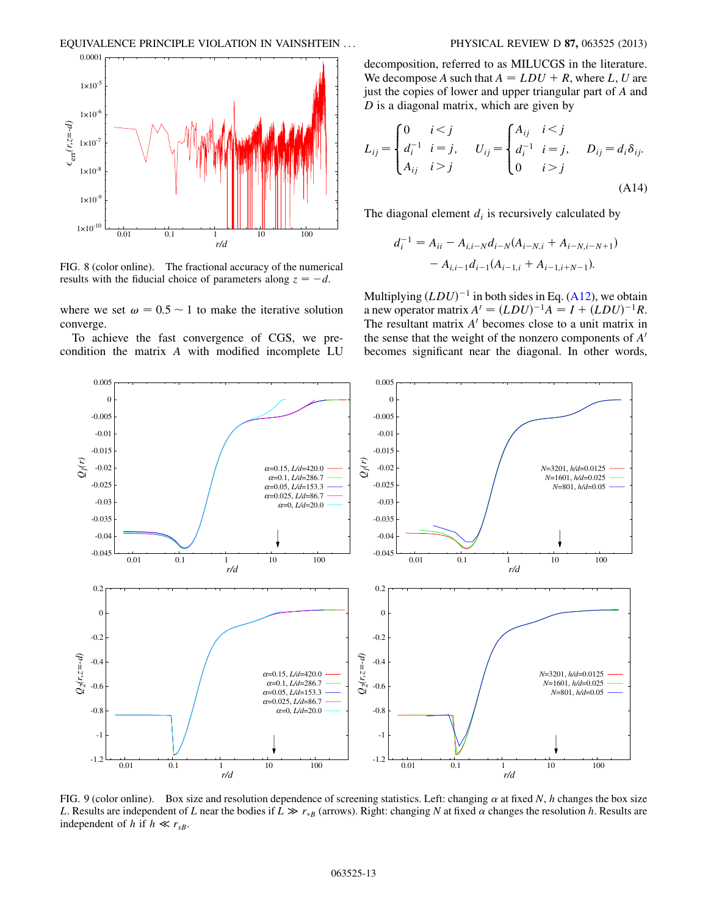<span id="page-12-0"></span>

FIG. 8 (color online). The fractional accuracy of the numerical results with the fiducial choice of parameters along  $z = -d$ .

where we set  $\omega = 0.5 \sim 1$  to make the iterative solution converge.

To achieve the fast convergence of CGS, we precondition the matrix A with modified incomplete LU decomposition, referred to as MILUCGS in the literature. We decompose A such that  $A = LDU + R$ , where L, U are just the copies of lower and upper triangular part of A and  $D$  is a diagonal matrix, which are given by

$$
L_{ij} = \begin{cases} 0 & i < j \\ d_i^{-1} & i = j, \\ A_{ij} & i > j \end{cases} \qquad U_{ij} = \begin{cases} A_{ij} & i < j \\ d_i^{-1} & i = j, \\ 0 & i > j \end{cases} \qquad D_{ij} = d_i \delta_{ij}.
$$
\n(A14)

The diagonal element  $d_i$  is recursively calculated by

$$
d_i^{-1} = A_{ii} - A_{i,i-N}d_{i-N}(A_{i-N,i} + A_{i-N,i-N+1})
$$

$$
- A_{i,i-1}d_{i-1}(A_{i-1,i} + A_{i-1,i+N-1}).
$$

Multiplying  $(LDU)^{-1}$  in both sides in Eq. [\(A12](#page-11-1)), we obtain<br>a new operator matrix  $A' = (LDU)^{-1}A = I + (LDU)^{-1}R$ a new operator matrix  $A' = (LDU)^{-1}A = I + (LDU)^{-1}R$ .<br>The resultant matrix A' becomes close to a unit matrix in The resultant matrix  $A<sup>'</sup>$  becomes close to a unit matrix in the sense that the weight of the nonzero components of  $A<sup>'</sup>$ becomes significant near the diagonal. In other words,

<span id="page-12-1"></span>

FIG. 9 (color online). Box size and resolution dependence of screening statistics. Left: changing  $\alpha$  at fixed N, h changes the box size L. Results are independent of L near the bodies if  $L \gg r_{*B}$  (arrows). Right: changing N at fixed  $\alpha$  changes the resolution h. Results are independent of h if  $h \ll r_{\rm B}$ independent of h if  $h \ll r_{sB}$ .